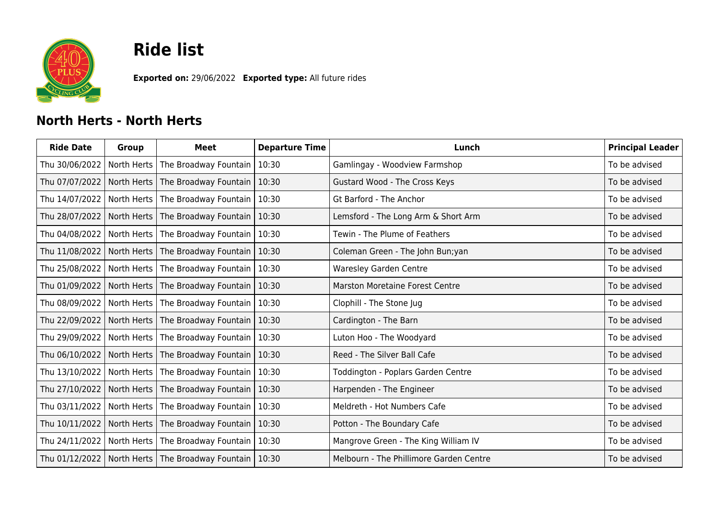

## **Ride list**

**Exported on:** 29/06/2022 **Exported type:** All future rides

## **North Herts - North Herts**

| <b>Ride Date</b> | <b>Group</b> | Meet                                | <b>Departure Time</b> | Lunch                                   | <b>Principal Leader</b> |
|------------------|--------------|-------------------------------------|-----------------------|-----------------------------------------|-------------------------|
| Thu 30/06/2022   | North Herts  | The Broadway Fountain               | 10:30                 | Gamlingay - Woodview Farmshop           | To be advised           |
| Thu 07/07/2022   | North Herts  | The Broadway Fountain               | 10:30                 | Gustard Wood - The Cross Keys           | To be advised           |
| Thu 14/07/2022   | North Herts  | The Broadway Fountain               | 10:30                 | <b>Gt Barford - The Anchor</b>          | To be advised           |
| Thu 28/07/2022   |              | North Herts   The Broadway Fountain | 10:30                 | Lemsford - The Long Arm & Short Arm     | To be advised           |
| Thu 04/08/2022   |              | North Herts   The Broadway Fountain | 10:30                 | Tewin - The Plume of Feathers           | To be advised           |
| Thu 11/08/2022   |              | North Herts   The Broadway Fountain | 10:30                 | Coleman Green - The John Bun; yan       | To be advised           |
| Thu 25/08/2022   |              | North Herts   The Broadway Fountain | 10:30                 | <b>Waresley Garden Centre</b>           | To be advised           |
| Thu 01/09/2022   |              | North Herts   The Broadway Fountain | 10:30                 | <b>Marston Moretaine Forest Centre</b>  | To be advised           |
| Thu 08/09/2022   |              | North Herts   The Broadway Fountain | 10:30                 | Clophill - The Stone Jug                | To be advised           |
| Thu 22/09/2022   |              | North Herts   The Broadway Fountain | 10:30                 | Cardington - The Barn                   | To be advised           |
| Thu 29/09/2022   |              | North Herts   The Broadway Fountain | 10:30                 | Luton Hoo - The Woodyard                | To be advised           |
| Thu 06/10/2022   | North Herts  | The Broadway Fountain               | 10:30                 | Reed - The Silver Ball Cafe             | To be advised           |
| Thu 13/10/2022   | North Herts  | The Broadway Fountain               | 10:30                 | Toddington - Poplars Garden Centre      | To be advised           |
| Thu 27/10/2022   | North Herts  | The Broadway Fountain               | 10:30                 | Harpenden - The Engineer                | To be advised           |
| Thu 03/11/2022   | North Herts  | The Broadway Fountain               | 10:30                 | Meldreth - Hot Numbers Cafe             | To be advised           |
| Thu 10/11/2022   | North Herts  | The Broadway Fountain               | 10:30                 | Potton - The Boundary Cafe              | To be advised           |
| Thu 24/11/2022   |              | North Herts   The Broadway Fountain | 10:30                 | Mangrove Green - The King William IV    | To be advised           |
| Thu 01/12/2022   |              | North Herts   The Broadway Fountain | 10:30                 | Melbourn - The Phillimore Garden Centre | To be advised           |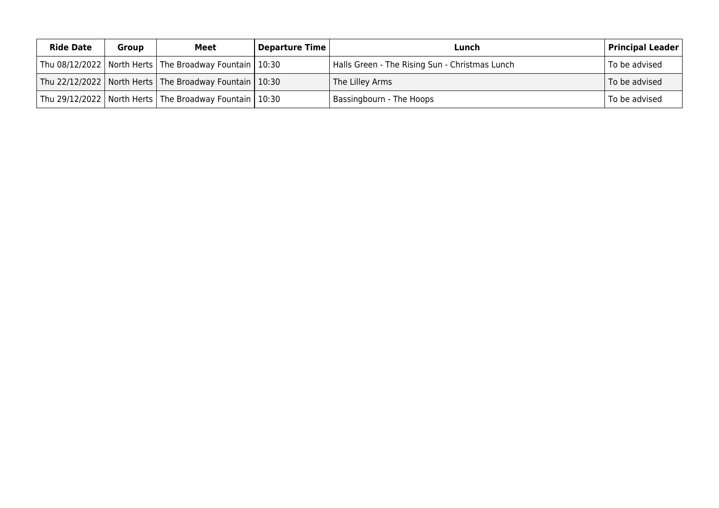| <b>Ride Date</b> | <b>Group</b> | Meet                                                         | Departure Time | Lunch                                          | $\mid$ Principal Leader $\mid$ |
|------------------|--------------|--------------------------------------------------------------|----------------|------------------------------------------------|--------------------------------|
|                  |              | Thu 08/12/2022   North Herts   The Broadway Fountain   10:30 |                | Halls Green - The Rising Sun - Christmas Lunch | To be advised                  |
|                  |              | Thu 22/12/2022   North Herts   The Broadway Fountain   10:30 |                | The Lilley Arms                                | To be advised                  |
|                  |              | Thu 29/12/2022   North Herts   The Broadway Fountain   10:30 |                | Bassingbourn - The Hoops                       | To be advised                  |